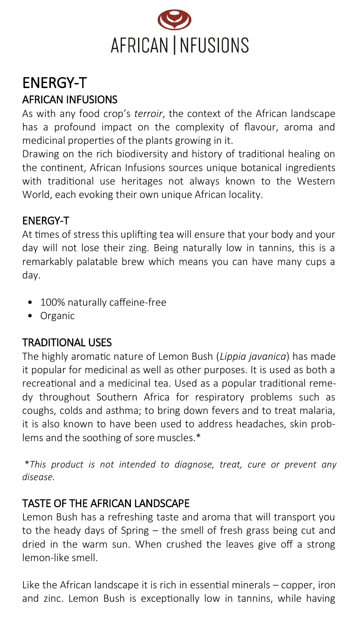

# ENERGY-T AFRICAN INFUSIONS

As with any food crop's *terroir*, the context of the African landscape has a profound impact on the complexity of flavour, aroma and medicinal properties of the plants growing in it.

Drawing on the rich biodiversity and history of traditional healing on the continent, African Infusions sources unique botanical ingredients with traditional use heritages not always known to the Western World, each evoking their own unique African locality.

#### ENERGY-T

At times of stress this uplifting tea will ensure that your body and your day will not lose their zing. Being naturally low in tannins, this is a remarkably palatable brew which means you can have many cups a day.

- 100% naturally caffeine-free
- Organic

## TRADITIONAL USES

The highly aromatic nature of Lemon Bush (*Lippia javanica*) has made it popular for medicinal as well as other purposes. It is used as both a recreational and a medicinal tea. Used as a popular traditional remedy throughout Southern Africa for respiratory problems such as coughs, colds and asthma; to bring down fevers and to treat malaria, it is also known to have been used to address headaches, skin problems and the soothing of sore muscles.\*

\**This product is not intended to diagnose, treat, cure or prevent any disease.*

## TASTE OF THE AFRICAN LANDSCAPE

Lemon Bush has a refreshing taste and aroma that will transport you to the heady days of Spring – the smell of fresh grass being cut and dried in the warm sun. When crushed the leaves give off a strong lemon-like smell.

Like the African landscape it is rich in essential minerals – copper, iron and zinc. Lemon Bush is exceptionally low in tannins, while having